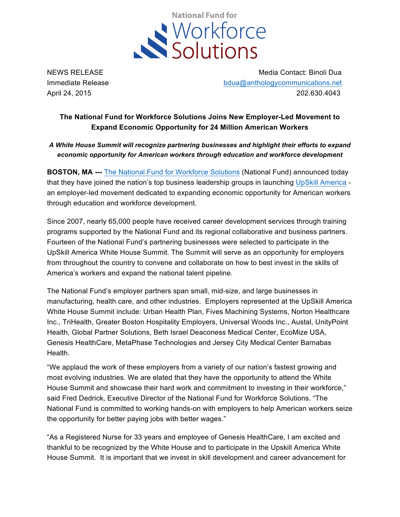

NEWS RELEASE MEDIC CONTACT CONTACT MEDIC ON Media Contact: Binoli Dua Immediate Release bdua@anthologycommunications.net April 24, 2015 202.630.4043

## **The National Fund for Workforce Solutions Joins New Employer-Led Movement to Expand Economic Opportunity for 24 Million American Workers**

*A White House Summit will recognize partnering businesses and highlight their efforts to expand economic opportunity for American workers through education and workforce development*

**BOSTON, MA ---** The National Fund for Workforce Solutions (National Fund) announced today that they have joined the nation's top business leadership groups in launching UpSkill America an employer-led movement dedicated to expanding economic opportunity for American workers through education and workforce development.

Since 2007, nearly 65,000 people have received career development services through training programs supported by the National Fund and its regional collaborative and business partners. Fourteen of the National Fund's partnering businesses were selected to participate in the UpSkill America White House Summit. The Summit will serve as an opportunity for employers from throughout the country to convene and collaborate on how to best invest in the skills of America's workers and expand the national talent pipeline.

The National Fund's employer partners span small, mid-size, and large businesses in manufacturing, health care, and other industries. Employers represented at the UpSkill America White House Summit include: Urban Health Plan, Fives Machining Systems, Norton Healthcare Inc., TriHealth, Greater Boston Hospitality Employers, Universal Woods Inc., Austal, UnityPoint Health, Global Partner Solutions, Beth Israel Deaconess Medical Center, EcoMize USA, Genesis HealthCare, MetaPhase Technologies and Jersey City Medical Center Barnabas Health.

"We applaud the work of these employers from a variety of our nation's fastest growing and most evolving industries. We are elated that they have the opportunity to attend the White House Summit and showcase their hard work and commitment to investing in their workforce," said Fred Dedrick, Executive Director of the National Fund for Workforce Solutions. "The National Fund is committed to working hands-on with employers to help American workers seize the opportunity for better paying jobs with better wages."

"As a Registered Nurse for 33 years and employee of Genesis HealthCare, I am excited and thankful to be recognized by the White House and to participate in the Upskill America White House Summit. It is important that we invest in skill development and career advancement for